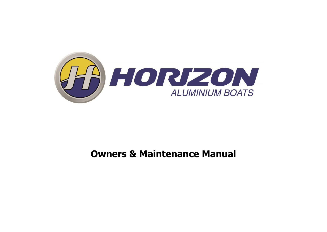

# **Owners & Maintenance Manual**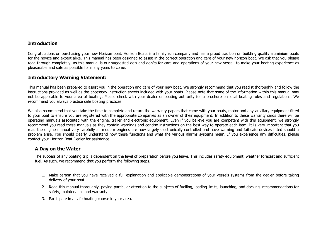# **Introduction**

Congratulations on purchasing your new Horizon boat. Horizon Boats is a family run company and has a proud tradition on building quality aluminium boats for the novice and expert alike. This manual has been designed to assist in the correct operation and care of your new horizon boat. We ask that you please read through completely, as this manual is our suggested do's and don'ts for care and operations of your new yessel, to make your boating experience as pleasurable and safe as possible for many years to come.

# **Introductory Warning Statement:**

This manual has been prepared to assist you in the operation and care of your new boat. We strongly recommend that you read it thoroughly and follow the instructions provided as well as the accessory instruction sheets included with your boats. Please note that some of the information within this manual may not be applicable to your area of boating. Please check with your dealer or boating authority for a brochure on local boating rules and regulations. We recommend you always practice safe boating practices.

We also recommend that you take the time to complete and return the warranty papers that came with your boats, motor and any auxiliary equipment fitted to your boat to ensure you are registered with the appropriate companies as an owner of their equipment. In addition to these warranty cards there will be operating manuals associated with the engine, trailer and electronic equipment. Even if you believe you are competent with this equipment, we strongly recommend you read these manuals as they contain warnings and concise instructions on the best way to operate each item. It is very important that you read the engine manual very carefully as modern engines are now largely electronically controlled and have warning and fail safe devices fitted should a problem arise. You should clearly understand how these functions and what the various alarms systems mean. If you experience any difficulties, please contact your Horizon Boat Dealer for assistance.

# **A Day on the Water**

The success of any boating trip is dependent on the level of preparation before you leave. This includes safety equipment, weather forecast and sufficient fuel. As such, we recommend that you perform the following steps.

- 1. Make certain that you have received a full explanation and applicable demonstrations of your vessels systems from the dealer before taking delivery of your boat.
- 2. Read this manual thoroughly, paying particular attention to the subjects of fuelling, loading limits, launching, and docking, recommendations for safety, maintenance and warranty.
- 3. Participate in a safe boating course in your area.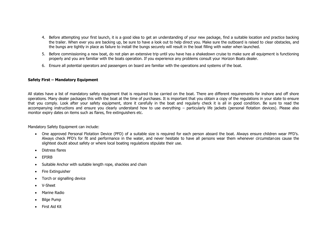- 4. Before attempting your first launch, it is a good idea to get an understanding of your new package, find a suitable location and practice backing the trailer. When ever you are backing up, be sure to have a look out to help direct you. Make sure the outboard is raised to clear obstacles, and the bungs are tightly in place as failure to install the bungs securely will result in the boat filling with water when launched.
- 5. Before commissioning a new boat, do not plan an extensive trip until you have has a shakedown cruise to make sure all equipment is functioning properly and you are familiar with the boats operation. If you experience any problems consult your Horizon Boats dealer.
- 6. Ensure all potential operators and passengers on board are familiar with the operations and systems of the boat.

#### **Safety First – Mandatory Equipment**

All states have a list of mandatory safety equipment that is required to be carried on the boat. There are different requirements for inshore and off shore operations. Many dealer packages this with the boat at the time of purchases. It is important that you obtain a copy of the regulations in your state to ensure that you comply. Look after your safety equipment, store it carefully in the boat and regularly check it is all in good condition. Be sure to read the accompanying instructions and ensure you clearly understand how to use everything – particularly life jackets (personal flotation devices). Please also monitor expiry dates on items such as flares, fire extinguishers etc.

Mandatory Safety Equipment can include:

- One approved Personal Flotation Device (PFD) of a suitable size is required for each person aboard the boat. Always ensure children wear PFD's. Always check PFD's for fit and performance in the water, and never hesitate to have all persons wear them whenever circumstances cause the slightest doubt about safety or where local boating regulations stipulate their use.
- **•** Distress flares
- **•** FPIRR
- Suitable Anchor with suitable length rope, shackles and chain
- Fire Extinguisher
- Torch or signalling device
- V-Sheet
- Marine Radio
- Bilge Pump
- First Aid Kit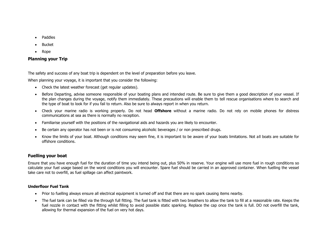- Paddles
- Bucket
- Rope

# **Planning your Trip**

The safety and success of any boat trip is dependent on the level of preparation before you leave.

When planning your voyage, it is important that you consider the following:

- Check the latest weather forecast (get regular updates).
- Before Departing, advise someone responsible of your boating plans and intended route. Be sure to give them a good description of your vessel. If the plan changes during the voyage, notify them immediately. These precautions will enable them to tell rescue organisations where to search and the type of boat to look for if you fail to return. Also be sure to always report in when you return.
- Check your marine radio is working properly. Do not head **Offshore** without a marine radio. Do not rely on mobile phones for distress communications at sea as there is normally no reception.
- Familiarise yourself with the positions of the navigational aids and hazards you are likely to encounter.
- Be certain any operator has not been or is not consuming alcoholic beverages / or non prescribed drugs.
- Know the limits of your boat. Although conditions may seem fine, it is important to be aware of your boats limitations. Not all boats are suitable for offshore conditions.

# **Fuelling your boat**

Ensure that you have enough fuel for the duration of time you intend being out, plus 50% in reserve. Your engine will use more fuel in rough conditions so calculate your fuel usage based on the worst conditions you will encounter. Spare fuel should be carried in an approved container. When fuelling the vessel take care not to overfill, as fuel spillage can affect paintwork.

### **Underfloor Fuel Tank**

- Prior to fuelling always ensure all electrical equipment is turned off and that there are no spark causing items nearby.
- The fuel tank can be filled via the through full fitting. The fuel tank is fitted with two breathers to allow the tank to fill at a reasonable rate. Keeps the fuel nozzle in contact with the fitting whilst filling to avoid possible static sparking. Replace the cap once the tank is full. DO not overfill the tank, allowing for thermal expansion of the fuel on very hot days.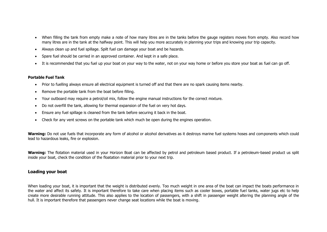- When filling the tank from empty make a note of how many litres are in the tanks before the gauge registers moves from empty. Also record how many litres are in the tank at the halfway point. This will help you more accurately in planning your trips and knowing your trip capacity.
- Always clean up and fuel spillage. Spilt fuel can damage your boat and be hazards.
- Spare fuel should be carried in an approved container. And kept in a safe place.
- It is recommended that you fuel up your boat on your way to the water, not on your way home or before you store your boat as fuel can go off.

#### **Portable Fuel Tank**

- Prior to fuelling always ensure all electrical equipment is turned off and that there are no spark causing items nearby.
- Remove the portable tank from the boat before filling.
- Your outboard may require a petrol/oil mix, follow the engine manual instructions for the correct mixture.
- Do not overfill the tank, allowing for thermal expansion of the fuel on very hot days.
- Ensure any fuel spillage is cleaned from the tank before securing it back in the boat.
- Check for any vent screws on the portable tank which much be open during the engines operation.

**Warning:** Do not use fuels that incorporate any form of alcohol or alcohol derivatives as it destroys marine fuel systems hoses and components which could lead to hazardous leaks, fire or explosion.

Warning: The flotation material used in your Horizon Boat can be affected by petrol and petroleum based product. If a petroleum-based product us split inside your boat, check the condition of the floatation material prior to your next trip.

# **Loading your boat**

When loading your boat, it is important that the weight is distributed evenly. Too much weight in one area of the boat can impact the boats performance in the water and affect its safety. It is important therefore to take care when placing items such as cooler boxes, portable fuel tanks, water jugs etc to help create more desirable running attitude. This also applies to the location of passengers, with a shift in passenger weight altering the planning angle of the hull. It is important therefore that passengers never change seat locations while the boat is moving.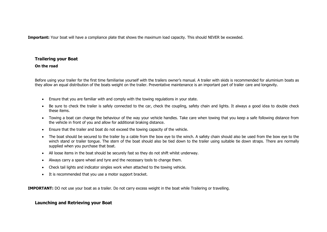**Important:** Your boat will have a compliance plate that shows the maximum load capacity. This should NEVER be exceeded.

# **Trailering your Boat**

#### **On the road**

Before using your trailer for the first time familiarise yourself with the trailers owner's manual. A trailer with skids is recommended for aluminium boats as they allow an equal distribution of the boats weight on the trailer. Preventative maintenance is an important part of trailer care and longevity.

- Ensure that you are familiar with and comply with the towing regulations in your state.
- Be sure to check the trailer is safely connected to the car, check the coupling, safety chain and lights. It always a good idea to double check these items.
- Towing a boat can change the behaviour of the way your vehicle handles. Take care when towing that you keep a safe following distance from the vehicle in front of you and allow for additional braking distance.
- Ensure that the trailer and boat do not exceed the towing capacity of the vehicle.
- The boat should be secured to the trailer by a cable from the bow eye to the winch. A safety chain should also be used from the bow eye to the winch stand or trailer tongue. The stern of the boat should also be tied down to the trailer using suitable tie down straps. There are normally supplied when you purchase that boat.
- All loose items in the boat should be securely fast so they do not shift whilst underway.
- Always carry a spare wheel and tyre and the necessary tools to change them.
- Check tail lights and indicator singles work when attached to the towing vehicle.
- It is recommended that you use a motor support bracket.

**IMPORTANT:** DO not use your boat as a trailer. Do not carry excess weight in the boat while Trailering or travelling.

# **Launching and Retrieving your Boat**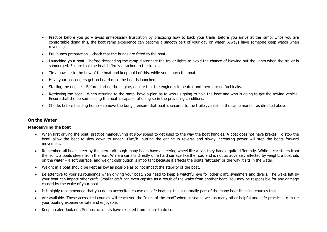- Practice before you go avoid unnecessary frustration by practicing how to back your trailer before you arrive at the ramp. Once you are comfortable doing this, the boat ramp experience can become a smooth part of your day on water. Always have someone keep watch when reversing.
- $\bullet$  Pre launch preparation check that the bungs are fitted to the boat!
- Launching your boat before descending the ramp disconnect the trailer lights to avoid the chance of blowing out the lights when the trailer is submerged. Ensure that the boat is firmly attached to the trailer.
- Tie a bowline to the bow of the boat and keep hold of this, while you launch the boat.
- Have your passengers get on board once the boat is launched.
- Starting the engine Before starting the engine, ensure that the engine is in neutral and there are no fuel leaks.
- Retrieving the boat When retuning to the ramp, have a plan as to who us going to hold the boat and who is going to get the towing vehicle. Ensure that the person holding the boat is capable of doing so in the prevailing conditions.
- Checks before heading home remove the bungs; ensure that boat is secured to the trailer/vehicle in the same manner as directed above.

# **On the Water**

#### **Manoeuvring the boat**

- When first driving the boat, practice manoeuvring at slow speed to get used to the way the boat handles. A boat does not have brakes. To stop the boat, allow the boat to slow down to under 10km/h. putting the engine in reverse and slowly increasing power will stop the boats forward movement.
- Remember, all boats steer by the stern. Although many boats have a steering wheel like a car, they handle quite differently. While a car steers from the front, a boats steers from the rear. While a car sits directly on a hard surface like the road and is not as adversely affected by weight, a boat sits on the water – a soft surface, and weight distribution is important because if affects the boats "attitude" or the way it sits in the water.
- Weight in a boat should be kept as low as possible as to not impact the stability of the boat.
- Be attentive to your surroundings when driving your boat. You need to keep a watchful eye for other craft, swimmers and divers. The wake left by your boat can impact other craft. Smaller craft can even capsize as a result of the wake from another boat. You may be responsible for any damage caused by the wake of your boat.
- It is highly recommended that you do an accredited course on safe boating, this is normally part of the many boat licensing courses that
- Are available. These accredited courses will teach you the "rules of the road" when at sea as well as many other helpful and safe practices to make your boating experience safe and enjoyable.
- Keep an alert look out. Serious accidents have resulted from failure to do so.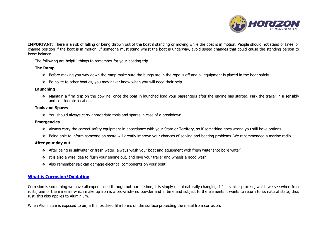

**IMPORTANT:** There is a risk of falling or being thrown out of the boat if standing or moving while the boat is in motion. People should not stand or kneel or change position if the boat is in motion. If someone must stand whilst the boat is underway, avoid speed changes that could cause the standing person to loose balance.

The following are helpful things to remember for your boating trip.

#### **The Ramp**

- Before making you way down the ramp make sure the bungs are in the rope is off and all equipment is placed in the boat safely
- Be polite to other boaties, you may never know when you will need their help.

#### **Launching**

 Maintain a firm grip on the bowline, once the boat in launched load your passengers after the engine has started. Park the trailer in a sensibly and considerate location.

#### **Tools and Spares**

You should always carry appropriate tools and spares in case of a breakdown.

#### **Emergencies**

- Always carry the correct safety equipment in accordance with your State or Territory, so if something goes wrong you still have options.
- Being able to inform someone on shore will greatly improve your chances of solving and boating problems. We recommended a marine radio.

#### **After your day out**

- After being in saltwater or fresh water, always wash your boat and equipment with fresh water (not bore water).
- $\cdot \cdot$  It is also a wise idea to flush your engine out, and give your trailer and wheels a good wash.
- \* Also remember salt can damage electrical components on your boat.

# **What is Corrosion/Oxidation**

Corrosion is something we have all experienced through out our lifetime; it is simply metal naturally changing. It's a similar process, which we see when Iron rusts, one of the minerals which make up iron is a brownish-red powder and in time and subject to the elements it wants to return to its natural state, thus rust, this also applies to Aluminium.

When Aluminium is exposed to air, a thin oxidized film forms on the surface protecting the metal from corrosion.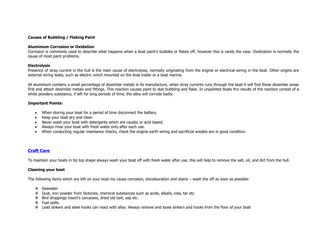#### **Causes of Bubbling / Flaking Paint**

#### **Aluminium Corrosion or Oxidation**

Corrosion is commonly used to describe what happens when a boat paint's bubbles or flakes off, however this is rarely the case. Oxidization is normally the cause of most paint problems.

#### **Electrolysis**

Presence of stray current in the hull is the main cause of electrolysis, normally originating from the engine or electrical wiring in the boat. Other origins are external wiring leaks, such as electric winch mounted on the boat trailer or a boat marina.

All aluminium contains a small percentage of dissimilar metals in its manufacture, when stray currents runs through the boat it will find these dissimilar areas first and attach dissimilar metals and fittings. This reaction causes paint to stat bubbling and flake. In unpainted boats the results of the reaction consist of a white powdery substance, if left for long periods of time, the alloy will corrode badly.

#### **Important Points:**

- When storing your boat for a period of time disconnect the battery.
- Keep your boat dry and clean
- Never wash your boat with detergents which are caustic or acid based.
- Always rinse your boat with fresh water only after each use.
- When conducting regular maintance checks, check the engine earth wiring and sacrificial anodes are in good condition.

# **Craft Care**

To maintain your boats in tip top shape always wash your boat off with fresh water after use, this will help to remove the salt, oil, and dirt from the hull.

#### **Cleaning your boat**

The following items which are left on your boat my cause corrosion, discolouration and stains – wash the off as soon as possible:

- Seawater
- Dust, iron powder from factories, chemical substances such as acids, alkalis, cola, tar etc
- Bird droppings insect's carcasses, dried old bait, sap etc.
- Fuel spills.
- Lead sinkers and steel hooks can react with alloy. Always remove and loose sinkers and hooks from the floor of your boat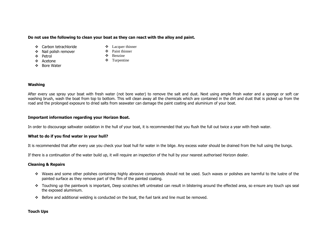#### **Do not use the following to clean your boat as they can react with the alloy and paint.**

- ❖ Carbon tetrachloride
- ❖ Nail polish remover
- ❖ Petrol
- ❖ Acetone
- ❖ Bore Water
- Lacquer thinner
- Paint thinner
- ❖ Benzine
- ❖ Turpentine

#### **Washing**

After every use spray your boat with fresh water (not bore water) to remove the salt and dust. Next using ample fresh water and a sponge or soft car washing brush, wash the boat from top to bottom. This will clean away all the chemicals which are contained in the dirt and dust that is picked up from the road and the prolonged exposure to dried salts from seawater can damage the paint coating and aluminium of your boat.

#### **Important information regarding your Horizon Boat.**

In order to discourage saltwater oxidation in the hull of your boat, it is recommended that you flush the full out twice a year with fresh water.

#### **What to do if you find water in your hull?**

It is recommended that after every use you check your boat hull for water in the bilge. Any excess water should be drained from the hull using the bungs.

If there is a continuation of the water build up, it will require an inspection of the hull by your nearest authorised Horizon dealer.

#### **Cleaning & Repairs**

- \* Waxes and some other polishes containing highly abrasive compounds should not be used. Such waxes or polishes are harmful to the lustre of the painted surface as they remove part of the film of the painted coating.
- \* Touching up the paintwork is important, Deep scratches left untreated can result in blistering around the effected area, so ensure any touch ups seal the exposed aluminium.
- Before and additional welding is conducted on the boat, the fuel tank and line must be removed.

#### **Touch Ups**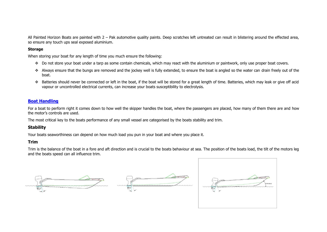All Painted Horizon Boats are painted with 2 – Pak automotive quality paints. Deep scratches left untreated can result in blistering around the effected area, so ensure any touch ups seal exposed aluminium.

#### **Storage**

When storing your boat for any length of time you much ensure the following:

- ◆ Do not store your boat under a tarp as some contain chemicals, which may react with the aluminium or paintwork, only use proper boat covers.
- \* Always ensure that the bungs are removed and the jockey well is fully extended, to ensure the boat is angled so the water can drain freely out of the boat.
- ◆ Batteries should never be connected or left in the boat, if the boat will be stored for a great length of time. Batteries, which may leak or give off acid vapour or uncontrolled electrical currents, can increase your boats susceptibility to electrolysis.

# **Boat Handling**

For a boat to perform right it comes down to how well the skipper handles the boat, where the passengers are placed, how many of them there are and how the motor's controls are used.

The most critical key to the boats performance of any small vessel are categorised by the boats stability and trim.

# **Stability**

Your boats seaworthiness can depend on how much load you pun in your boat and where you place it.

# **Trim**

Trim is the balance of the boat in a fore and aft direction and is crucial to the boats behaviour at sea. The position of the boats load, the tilt of the motors leg and the boats speed can all influence trim.